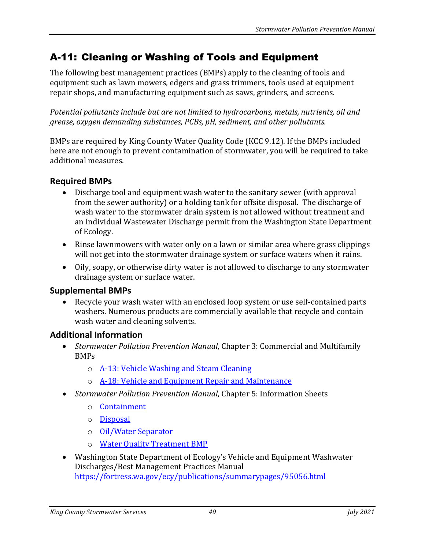## A-11: Cleaning or Washing of Tools and Equipment

The following best management practices (BMPs) apply to the cleaning of tools and equipment such as lawn mowers, edgers and grass trimmers, tools used at equipment repair shops, and manufacturing equipment such as saws, grinders, and screens.

*Potential pollutants include but are not limited to hydrocarbons, metals, nutrients, oil and grease, oxygen demanding substances, PCBs, pH, sediment, and other pollutants.*

BMPs are required by King County Water Quality Code (KCC 9.12). If the BMPs included here are not enough to prevent contamination of stormwater, you will be required to take additional measures.

## **Required BMPs**

- Discharge tool and equipment wash water to the sanitary sewer (with approval from the sewer authority) or a holding tank for offsite disposal. The discharge of wash water to the stormwater drain system is not allowed without treatment and an Individual Wastewater Discharge permit from the Washington State Department of Ecology.
- Rinse lawnmowers with water only on a lawn or similar area where grass clippings will not get into the stormwater drainage system or surface waters when it rains.
- Oily, soapy, or otherwise dirty water is not allowed to discharge to any stormwater drainage system or surface water.

## **Supplemental BMPs**

• Recycle your wash water with an enclosed loop system or use self-contained parts washers. Numerous products are commercially available that recycle and contain wash water and cleaning solvents.

## **Additional Information**

- *Stormwater Pollution Prevention Manual*, Chapter 3: Commercial and Multifamily BMPs
	- o [A-13: Vehicle Washing and Steam Cleaning](https://your.kingcounty.gov/dnrp/library/water-and-land/stormwater/stormwater-pollution-prevention-manual/a13-jul21.pdf)
	- o [A-18: Vehicle and Equipment Repair and Maintenance](https://your.kingcounty.gov/dnrp/library/water-and-land/stormwater/stormwater-pollution-prevention-manual/a18-jul21.pdf)
- *Stormwater Pollution Prevention Manual*, Chapter 5: Information Sheets
	- o [Containment](https://your.kingcounty.gov/dnrp/library/water-and-land/stormwater/stormwater-pollution-prevention-manual/containment-jul21.pdf)
	- o [Disposal](https://your.kingcounty.gov/dnrp/library/water-and-land/stormwater/stormwater-pollution-prevention-manual/disposal-jul21.pdf)
	- o [Oil/Water Separator](https://your.kingcounty.gov/dnrp/library/water-and-land/stormwater/stormwater-pollution-prevention-manual/oil-water-separator-jul21.pdf)
	- o [Water Quality Treatment BMP](https://your.kingcounty.gov/dnrp/library/water-and-land/stormwater/stormwater-pollution-prevention-manual/water-quality-treatment-bmps-jul21.pdf)
- Washington State Department of Ecology's Vehicle and Equipment Washwater Discharges/Best Management Practices Manual <https://fortress.wa.gov/ecy/publications/summarypages/95056.html>